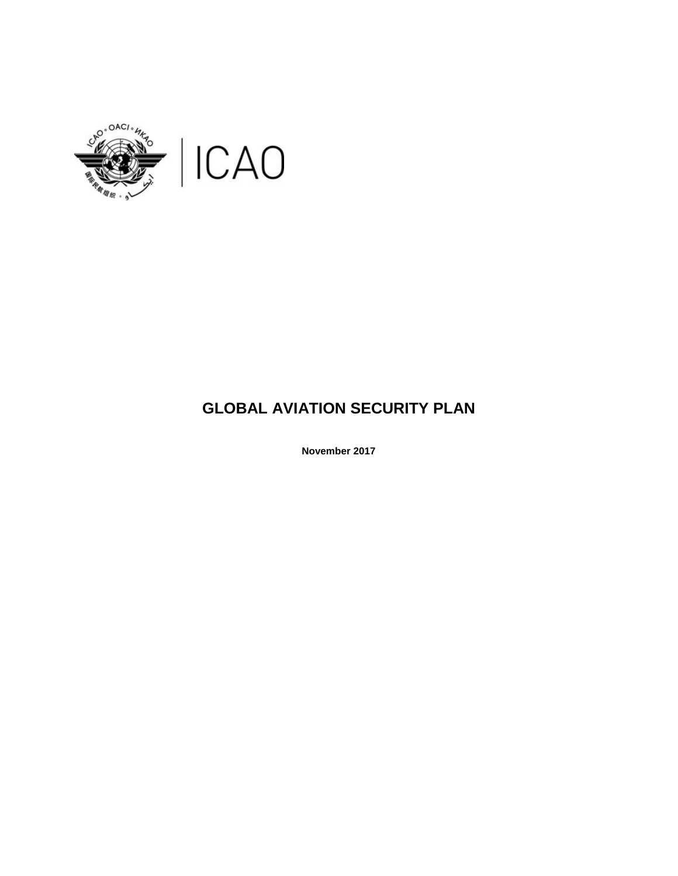

# **GLOBAL AVIATION SECURITY PLAN**

**November 2017**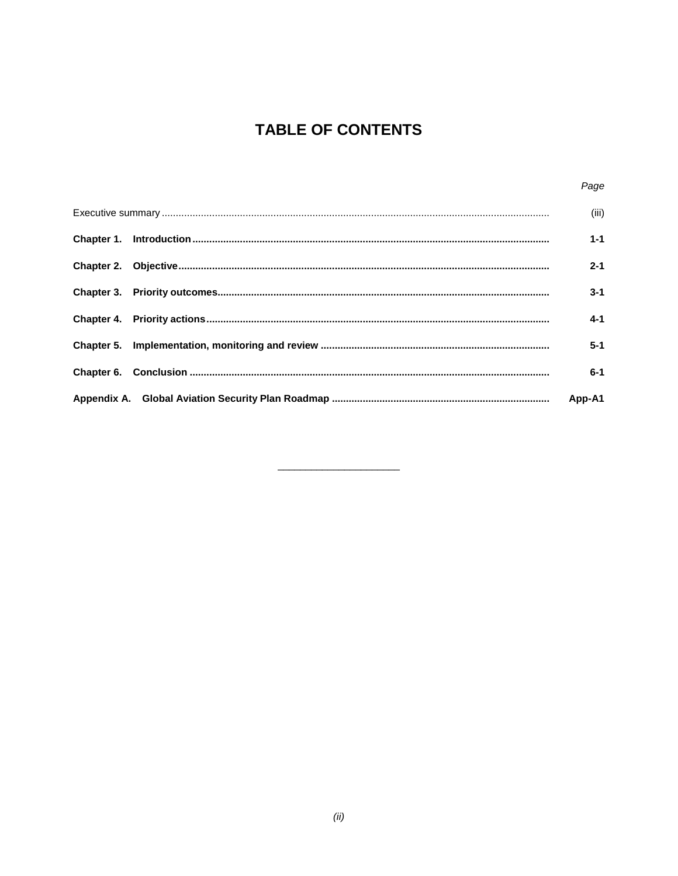# **TABLE OF CONTENTS**

| Page    |
|---------|
| (iii)   |
| $1 - 1$ |
| $2 - 1$ |
| $3 - 1$ |
| $4 - 1$ |
| $5-1$   |
| $6 - 1$ |
| App-A1  |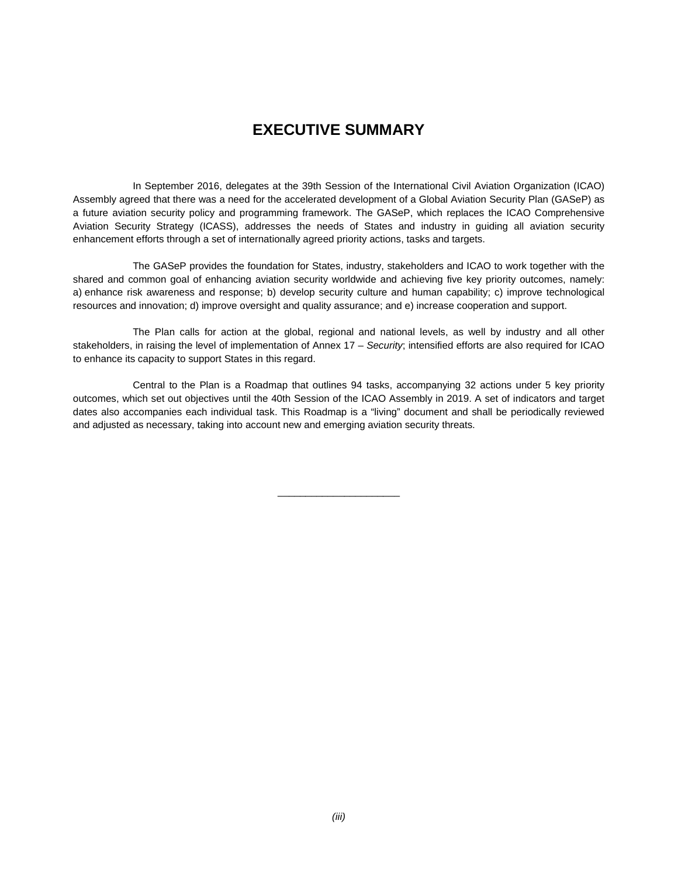## **EXECUTIVE SUMMARY**

In September 2016, delegates at the 39th Session of the International Civil Aviation Organization (ICAO) Assembly agreed that there was a need for the accelerated development of a Global Aviation Security Plan (GASeP) as a future aviation security policy and programming framework. The GASeP, which replaces the ICAO Comprehensive Aviation Security Strategy (ICASS), addresses the needs of States and industry in guiding all aviation security enhancement efforts through a set of internationally agreed priority actions, tasks and targets.

The GASeP provides the foundation for States, industry, stakeholders and ICAO to work together with the shared and common goal of enhancing aviation security worldwide and achieving five key priority outcomes, namely: a) enhance risk awareness and response; b) develop security culture and human capability; c) improve technological resources and innovation; d) improve oversight and quality assurance; and e) increase cooperation and support.

The Plan calls for action at the global, regional and national levels, as well by industry and all other stakeholders, in raising the level of implementation of Annex 17 – *Security*; intensified efforts are also required for ICAO to enhance its capacity to support States in this regard.

Central to the Plan is a Roadmap that outlines 94 tasks, accompanying 32 actions under 5 key priority outcomes, which set out objectives until the 40th Session of the ICAO Assembly in 2019. A set of indicators and target dates also accompanies each individual task. This Roadmap is a "living" document and shall be periodically reviewed and adjusted as necessary, taking into account new and emerging aviation security threats.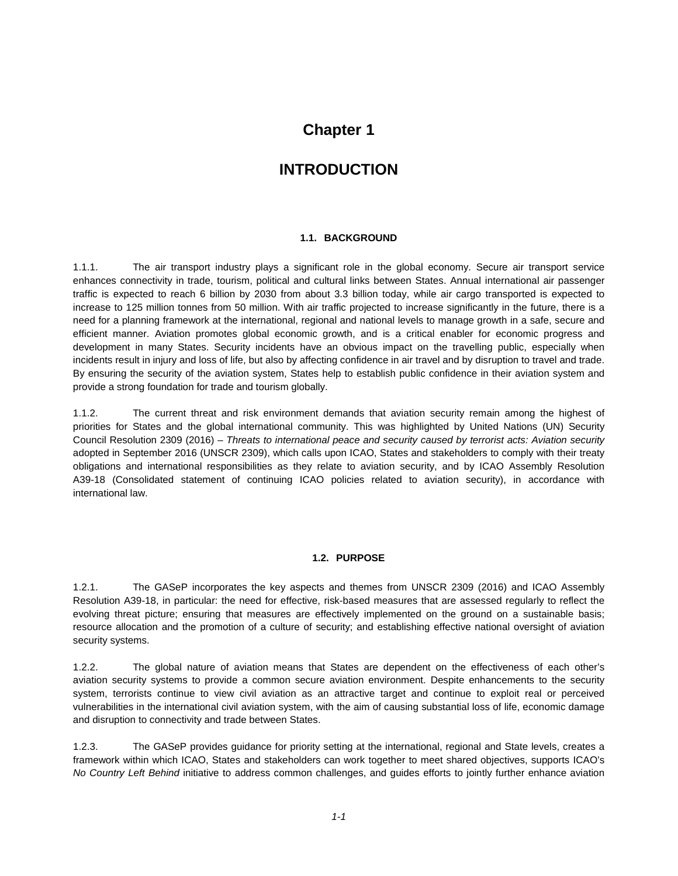# **INTRODUCTION**

#### **1.1. BACKGROUND**

1.1.1. The air transport industry plays a significant role in the global economy. Secure air transport service enhances connectivity in trade, tourism, political and cultural links between States. Annual international air passenger traffic is expected to reach 6 billion by 2030 from about 3.3 billion today, while air cargo transported is expected to increase to 125 million tonnes from 50 million. With air traffic projected to increase significantly in the future, there is a need for a planning framework at the international, regional and national levels to manage growth in a safe, secure and efficient manner. Aviation promotes global economic growth, and is a critical enabler for economic progress and development in many States. Security incidents have an obvious impact on the travelling public, especially when incidents result in injury and loss of life, but also by affecting confidence in air travel and by disruption to travel and trade. By ensuring the security of the aviation system, States help to establish public confidence in their aviation system and provide a strong foundation for trade and tourism globally.

1.1.2. The current threat and risk environment demands that aviation security remain among the highest of priorities for States and the global international community. This was highlighted by United Nations (UN) Security Council Resolution 2309 (2016) – *Threats to international peace and security caused by terrorist acts: Aviation security* adopted in September 2016 (UNSCR 2309), which calls upon ICAO, States and stakeholders to comply with their treaty obligations and international responsibilities as they relate to aviation security, and by ICAO Assembly Resolution A39-18 (Consolidated statement of continuing ICAO policies related to aviation security), in accordance with international law.

#### **1.2. PURPOSE**

1.2.1. The GASeP incorporates the key aspects and themes from UNSCR 2309 (2016) and ICAO Assembly Resolution A39-18, in particular: the need for effective, risk-based measures that are assessed regularly to reflect the evolving threat picture; ensuring that measures are effectively implemented on the ground on a sustainable basis; resource allocation and the promotion of a culture of security; and establishing effective national oversight of aviation security systems.

1.2.2. The global nature of aviation means that States are dependent on the effectiveness of each other's aviation security systems to provide a common secure aviation environment. Despite enhancements to the security system, terrorists continue to view civil aviation as an attractive target and continue to exploit real or perceived vulnerabilities in the international civil aviation system, with the aim of causing substantial loss of life, economic damage and disruption to connectivity and trade between States.

1.2.3. The GASeP provides guidance for priority setting at the international, regional and State levels, creates a framework within which ICAO, States and stakeholders can work together to meet shared objectives, supports ICAO's *No Country Left Behind* initiative to address common challenges, and guides efforts to jointly further enhance aviation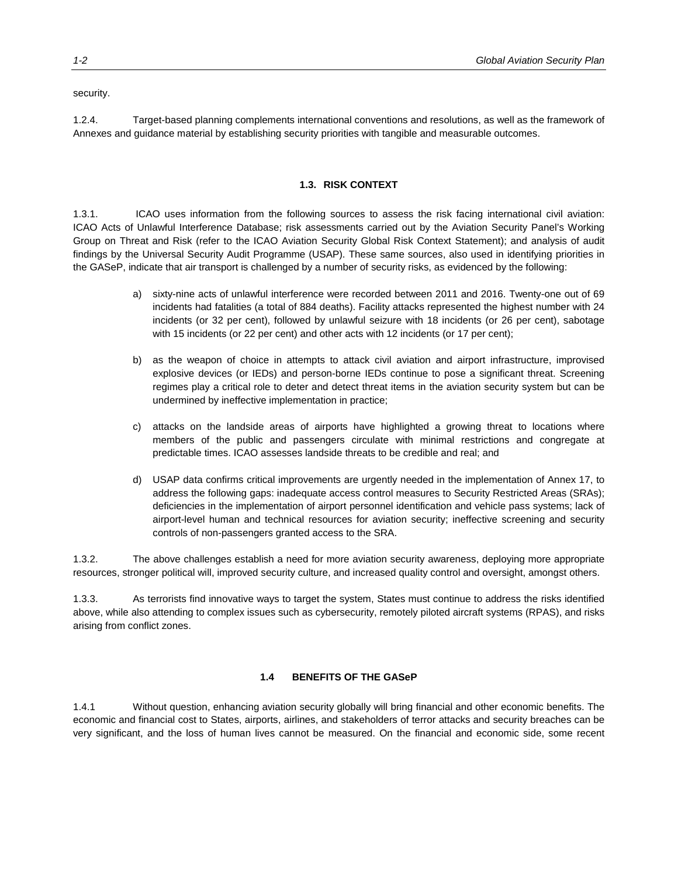security.

1.2.4. Target-based planning complements international conventions and resolutions, as well as the framework of Annexes and guidance material by establishing security priorities with tangible and measurable outcomes.

#### **1.3. RISK CONTEXT**

1.3.1. ICAO uses information from the following sources to assess the risk facing international civil aviation: ICAO Acts of Unlawful Interference Database; risk assessments carried out by the Aviation Security Panel's Working Group on Threat and Risk (refer to the ICAO Aviation Security Global Risk Context Statement); and analysis of audit findings by the Universal Security Audit Programme (USAP). These same sources, also used in identifying priorities in the GASeP, indicate that air transport is challenged by a number of security risks, as evidenced by the following:

- a) sixty-nine acts of unlawful interference were recorded between 2011 and 2016. Twenty-one out of 69 incidents had fatalities (a total of 884 deaths). Facility attacks represented the highest number with 24 incidents (or 32 per cent), followed by unlawful seizure with 18 incidents (or 26 per cent), sabotage with 15 incidents (or 22 per cent) and other acts with 12 incidents (or 17 per cent);
- b) as the weapon of choice in attempts to attack civil aviation and airport infrastructure, improvised explosive devices (or IEDs) and person-borne IEDs continue to pose a significant threat. Screening regimes play a critical role to deter and detect threat items in the aviation security system but can be undermined by ineffective implementation in practice;
- c) attacks on the landside areas of airports have highlighted a growing threat to locations where members of the public and passengers circulate with minimal restrictions and congregate at predictable times. ICAO assesses landside threats to be credible and real; and
- d) USAP data confirms critical improvements are urgently needed in the implementation of Annex 17, to address the following gaps: inadequate access control measures to Security Restricted Areas (SRAs); deficiencies in the implementation of airport personnel identification and vehicle pass systems; lack of airport-level human and technical resources for aviation security; ineffective screening and security controls of non-passengers granted access to the SRA.

1.3.2. The above challenges establish a need for more aviation security awareness, deploying more appropriate resources, stronger political will, improved security culture, and increased quality control and oversight, amongst others.

1.3.3. As terrorists find innovative ways to target the system, States must continue to address the risks identified above, while also attending to complex issues such as cybersecurity, remotely piloted aircraft systems (RPAS), and risks arising from conflict zones.

#### **1.4 BENEFITS OF THE GASeP**

1.4.1 Without question, enhancing aviation security globally will bring financial and other economic benefits. The economic and financial cost to States, airports, airlines, and stakeholders of terror attacks and security breaches can be very significant, and the loss of human lives cannot be measured. On the financial and economic side, some recent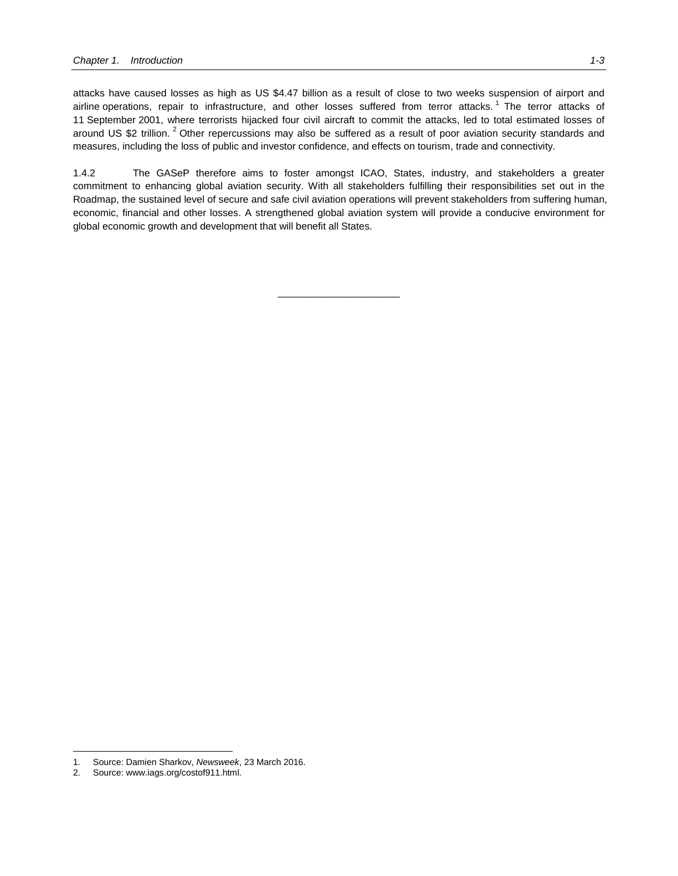attacks have caused losses as high as US \$4.47 billion as a result of close to two weeks suspension of airport and airline operations, repair to infrastructure, and other losses suffered from terror attacks.<sup>[1](#page-6-0)</sup> The terror attacks of 11 September 2001, where terrorists hijacked four civil aircraft to commit the attacks, led to total estimated losses of around US \$[2](#page-6-1) trillion.<sup>2</sup> Other repercussions may also be suffered as a result of poor aviation security standards and measures, including the loss of public and investor confidence, and effects on tourism, trade and connectivity.

1.4.2 The GASeP therefore aims to foster amongst ICAO, States, industry, and stakeholders a greater commitment to enhancing global aviation security. With all stakeholders fulfilling their responsibilities set out in the Roadmap, the sustained level of secure and safe civil aviation operations will prevent stakeholders from suffering human, economic, financial and other losses. A strengthened global aviation system will provide a conducive environment for global economic growth and development that will benefit all States.

\_\_\_\_\_\_\_\_\_\_\_\_\_\_\_\_\_\_\_\_\_\_

j

<span id="page-6-0"></span><sup>1.</sup> Source: Damien Sharkov, *Newsweek*, 23 March 2016.

<span id="page-6-1"></span><sup>2.</sup> Source: www.iags.org/costof911.html.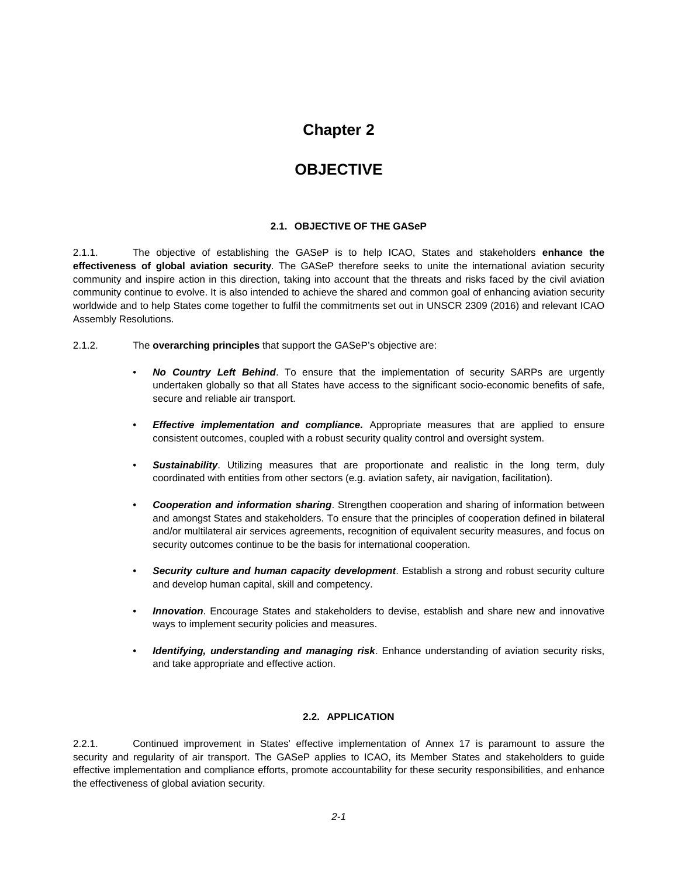# **OBJECTIVE**

#### **2.1. OBJECTIVE OF THE GASeP**

2.1.1. The objective of establishing the GASeP is to help ICAO, States and stakeholders **enhance the effectiveness of global aviation security**. The GASeP therefore seeks to unite the international aviation security community and inspire action in this direction, taking into account that the threats and risks faced by the civil aviation community continue to evolve. It is also intended to achieve the shared and common goal of enhancing aviation security worldwide and to help States come together to fulfil the commitments set out in UNSCR 2309 (2016) and relevant ICAO Assembly Resolutions.

2.1.2. The **overarching principles** that support the GASeP's objective are:

- *No Country Left Behind*. To ensure that the implementation of security SARPs are urgently undertaken globally so that all States have access to the significant socio-economic benefits of safe, secure and reliable air transport.
- *Effective implementation and compliance.* Appropriate measures that are applied to ensure consistent outcomes, coupled with a robust security quality control and oversight system.
- *Sustainability*. Utilizing measures that are proportionate and realistic in the long term, duly coordinated with entities from other sectors (e.g. aviation safety, air navigation, facilitation).
- *Cooperation and information sharing*. Strengthen cooperation and sharing of information between and amongst States and stakeholders. To ensure that the principles of cooperation defined in bilateral and/or multilateral air services agreements, recognition of equivalent security measures, and focus on security outcomes continue to be the basis for international cooperation.
- *Security culture and human capacity development*. Establish a strong and robust security culture and develop human capital, skill and competency.
- *Innovation*. Encourage States and stakeholders to devise, establish and share new and innovative ways to implement security policies and measures.
- *Identifying, understanding and managing risk*. Enhance understanding of aviation security risks, and take appropriate and effective action.

#### **2.2. APPLICATION**

2.2.1. Continued improvement in States' effective implementation of Annex 17 is paramount to assure the security and regularity of air transport. The GASeP applies to ICAO, its Member States and stakeholders to guide effective implementation and compliance efforts, promote accountability for these security responsibilities, and enhance the effectiveness of global aviation security.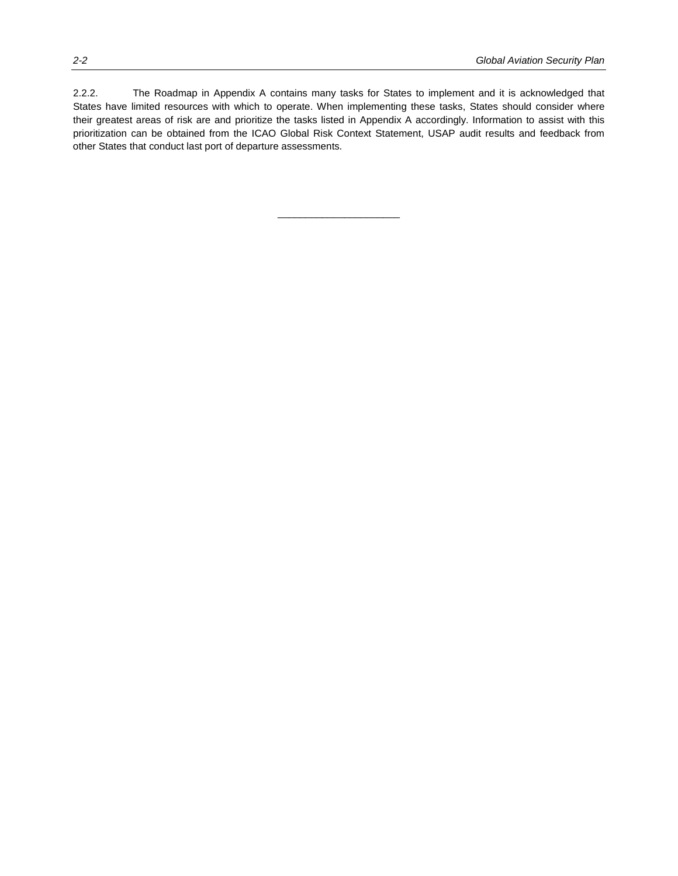2.2.2. The Roadmap in Appendix A contains many tasks for States to implement and it is acknowledged that States have limited resources with which to operate. When implementing these tasks, States should consider where their greatest areas of risk are and prioritize the tasks listed in Appendix A accordingly. Information to assist with this prioritization can be obtained from the ICAO Global Risk Context Statement, USAP audit results and feedback from other States that conduct last port of departure assessments.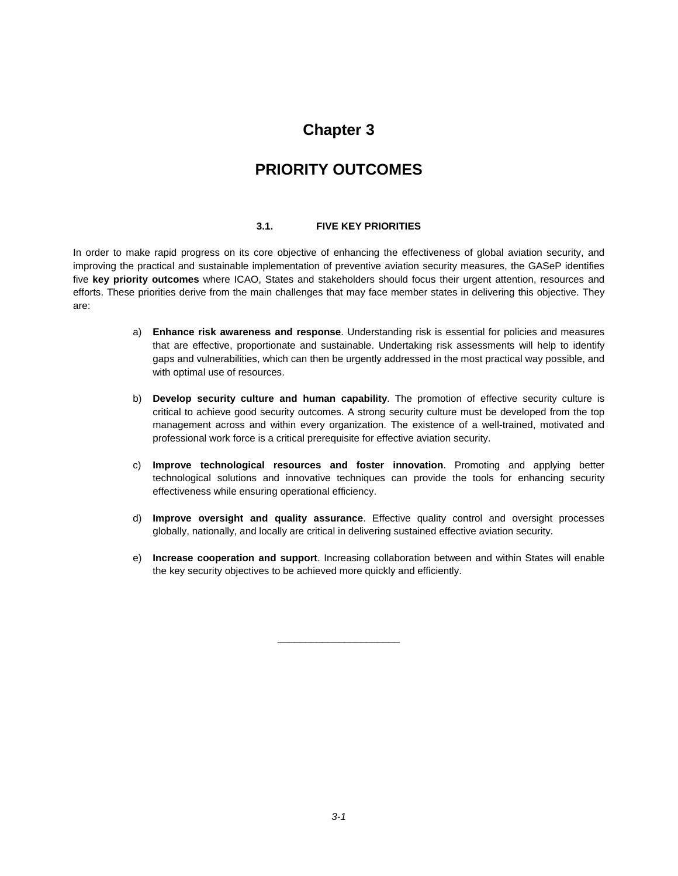# **PRIORITY OUTCOMES**

#### **3.1. FIVE KEY PRIORITIES**

In order to make rapid progress on its core objective of enhancing the effectiveness of global aviation security, and improving the practical and sustainable implementation of preventive aviation security measures, the GASeP identifies five **key priority outcomes** where ICAO, States and stakeholders should focus their urgent attention, resources and efforts. These priorities derive from the main challenges that may face member states in delivering this objective. They are:

- a) **Enhance risk awareness and response**. Understanding risk is essential for policies and measures that are effective, proportionate and sustainable. Undertaking risk assessments will help to identify gaps and vulnerabilities, which can then be urgently addressed in the most practical way possible, and with optimal use of resources.
- b) **Develop security culture and human capability**. The promotion of effective security culture is critical to achieve good security outcomes. A strong security culture must be developed from the top management across and within every organization. The existence of a well-trained, motivated and professional work force is a critical prerequisite for effective aviation security.
- c) **Improve technological resources and foster innovation**. Promoting and applying better technological solutions and innovative techniques can provide the tools for enhancing security effectiveness while ensuring operational efficiency.
- d) **Improve oversight and quality assurance**. Effective quality control and oversight processes globally, nationally, and locally are critical in delivering sustained effective aviation security.
- e) **Increase cooperation and support**. Increasing collaboration between and within States will enable the key security objectives to be achieved more quickly and efficiently.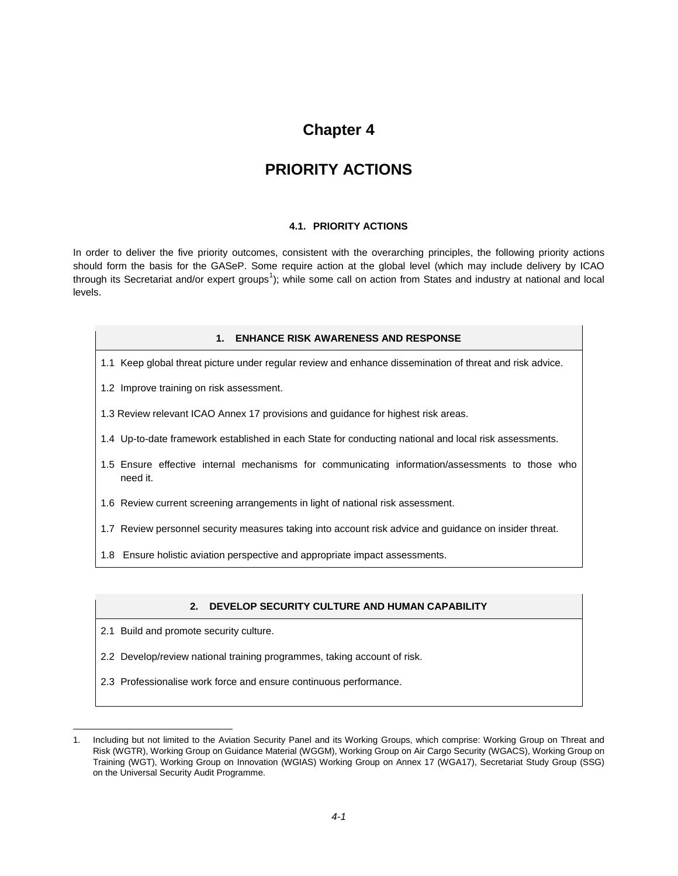# **PRIORITY ACTIONS**

#### **4.1. PRIORITY ACTIONS**

In order to deliver the five priority outcomes, consistent with the overarching principles, the following priority actions should form the basis for the GASeP. Some require action at the global level (which may include delivery by ICAO through its Secretariat and/or expert groups<sup>[1](#page-12-0)</sup>); while some call on action from States and industry at national and local levels.

#### **1. ENHANCE RISK AWARENESS AND RESPONSE**

- 1.1 Keep global threat picture under regular review and enhance dissemination of threat and risk advice.
- 1.2 Improve training on risk assessment.
- 1.3 Review relevant ICAO Annex 17 provisions and guidance for highest risk areas.
- 1.4 Up-to-date framework established in each State for conducting national and local risk assessments.
- 1.5 Ensure effective internal mechanisms for communicating information/assessments to those who need it.
- 1.6 Review current screening arrangements in light of national risk assessment.
- 1.7 Review personnel security measures taking into account risk advice and guidance on insider threat.
- 1.8 Ensure holistic aviation perspective and appropriate impact assessments.

#### **2. DEVELOP SECURITY CULTURE AND HUMAN CAPABILITY**

2.1 Build and promote security culture.

j

- 2.2 Develop/review national training programmes, taking account of risk.
- 2.3 Professionalise work force and ensure continuous performance.

<span id="page-12-0"></span><sup>1.</sup> Including but not limited to the Aviation Security Panel and its Working Groups, which comprise: Working Group on Threat and Risk (WGTR), Working Group on Guidance Material (WGGM), Working Group on Air Cargo Security (WGACS), Working Group on Training (WGT), Working Group on Innovation (WGIAS) Working Group on Annex 17 (WGA17), Secretariat Study Group (SSG) on the Universal Security Audit Programme.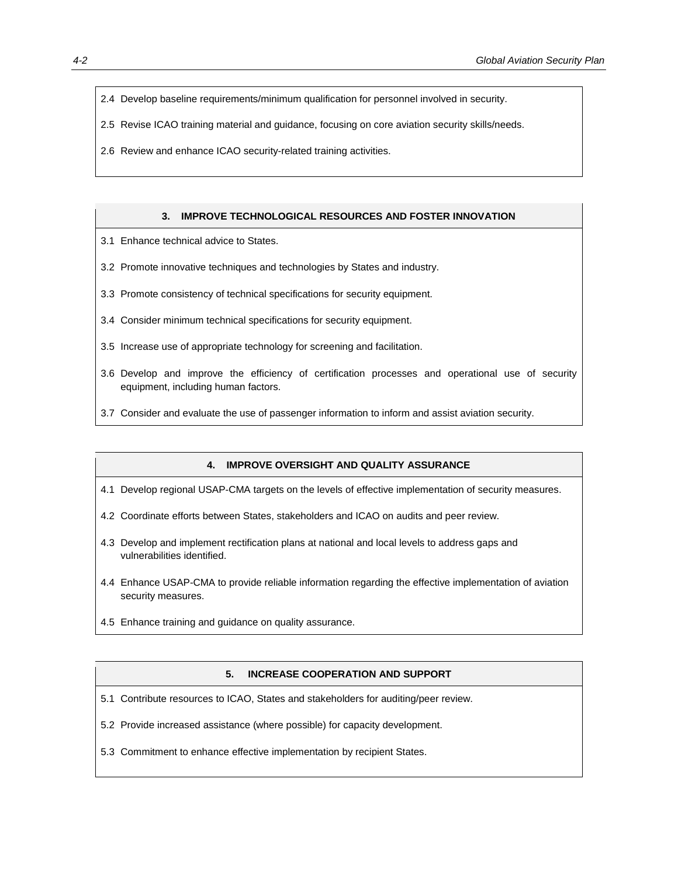- 2.4 Develop baseline requirements/minimum qualification for personnel involved in security.
- 2.5 Revise ICAO training material and guidance, focusing on core aviation security skills/needs.
- 2.6 Review and enhance ICAO security-related training activities.

#### **3. IMPROVE TECHNOLOGICAL RESOURCES AND FOSTER INNOVATION**

- 3.1 Enhance technical advice to States.
- 3.2 Promote innovative techniques and technologies by States and industry.
- 3.3 Promote consistency of technical specifications for security equipment.
- 3.4 Consider minimum technical specifications for security equipment.
- 3.5 Increase use of appropriate technology for screening and facilitation.
- 3.6 Develop and improve the efficiency of certification processes and operational use of security equipment, including human factors.
- 3.7 Consider and evaluate the use of passenger information to inform and assist aviation security.

#### **4. IMPROVE OVERSIGHT AND QUALITY ASSURANCE**

- 4.1 Develop regional USAP-CMA targets on the levels of effective implementation of security measures.
- 4.2 Coordinate efforts between States, stakeholders and ICAO on audits and peer review.
- 4.3 Develop and implement rectification plans at national and local levels to address gaps and vulnerabilities identified.
- 4.4 Enhance USAP-CMA to provide reliable information regarding the effective implementation of aviation security measures.
- 4.5 Enhance training and guidance on quality assurance.

#### **5. INCREASE COOPERATION AND SUPPORT**

- 5.1 Contribute resources to ICAO, States and stakeholders for auditing/peer review.
- 5.2 Provide increased assistance (where possible) for capacity development.
- 5.3 Commitment to enhance effective implementation by recipient States.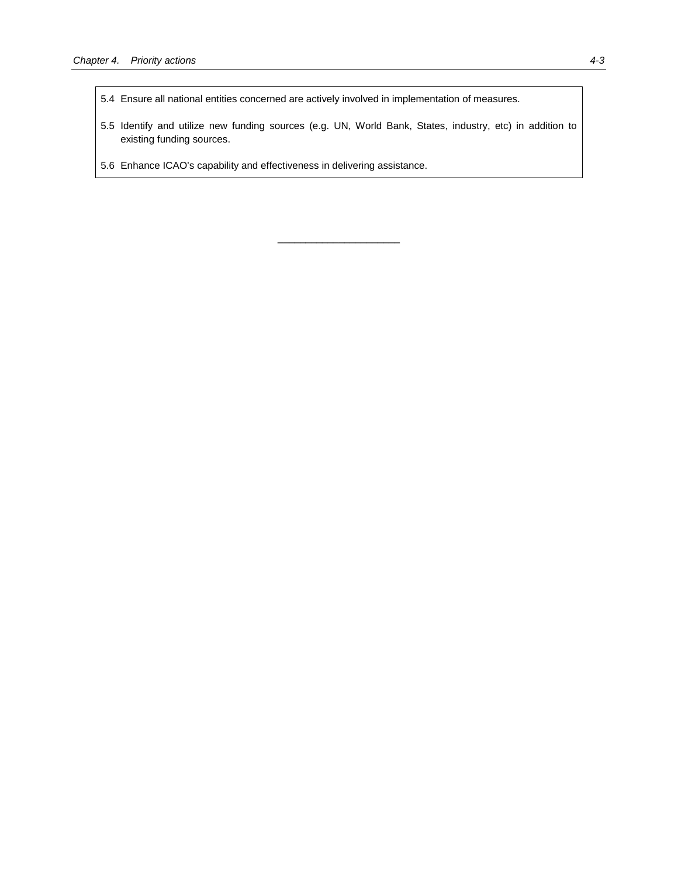- 5.4 Ensure all national entities concerned are actively involved in implementation of measures.
- 5.5 Identify and utilize new funding sources (e.g. UN, World Bank, States, industry, etc) in addition to existing funding sources.

\_\_\_\_\_\_\_\_\_\_\_\_\_\_\_\_\_\_\_\_\_\_

5.6 Enhance ICAO's capability and effectiveness in delivering assistance.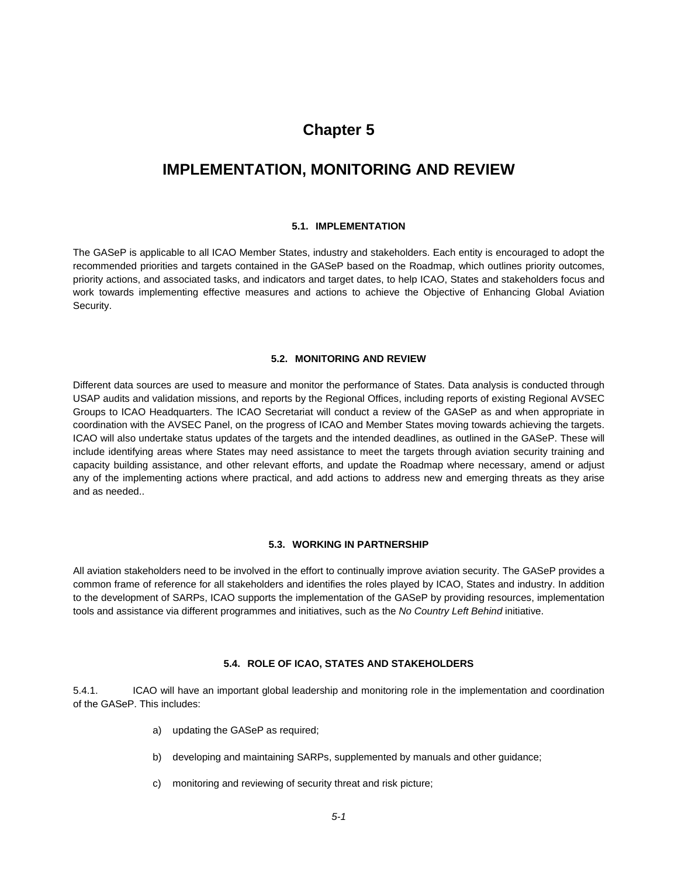### **IMPLEMENTATION, MONITORING AND REVIEW**

#### **5.1. IMPLEMENTATION**

The GASeP is applicable to all ICAO Member States, industry and stakeholders. Each entity is encouraged to adopt the recommended priorities and targets contained in the GASeP based on the Roadmap, which outlines priority outcomes, priority actions, and associated tasks, and indicators and target dates, to help ICAO, States and stakeholders focus and work towards implementing effective measures and actions to achieve the Objective of Enhancing Global Aviation Security.

#### **5.2. MONITORING AND REVIEW**

Different data sources are used to measure and monitor the performance of States. Data analysis is conducted through USAP audits and validation missions, and reports by the Regional Offices, including reports of existing Regional AVSEC Groups to ICAO Headquarters. The ICAO Secretariat will conduct a review of the GASeP as and when appropriate in coordination with the AVSEC Panel, on the progress of ICAO and Member States moving towards achieving the targets. ICAO will also undertake status updates of the targets and the intended deadlines, as outlined in the GASeP. These will include identifying areas where States may need assistance to meet the targets through aviation security training and capacity building assistance, and other relevant efforts, and update the Roadmap where necessary, amend or adjust any of the implementing actions where practical, and add actions to address new and emerging threats as they arise and as needed..

#### **5.3. WORKING IN PARTNERSHIP**

All aviation stakeholders need to be involved in the effort to continually improve aviation security. The GASeP provides a common frame of reference for all stakeholders and identifies the roles played by ICAO, States and industry. In addition to the development of SARPs, ICAO supports the implementation of the GASeP by providing resources, implementation tools and assistance via different programmes and initiatives, such as the *No Country Left Behind* initiative.

#### **5.4. ROLE OF ICAO, STATES AND STAKEHOLDERS**

5.4.1. ICAO will have an important global leadership and monitoring role in the implementation and coordination of the GASeP. This includes:

- a) updating the GASeP as required;
- b) developing and maintaining SARPs, supplemented by manuals and other guidance;
- c) monitoring and reviewing of security threat and risk picture;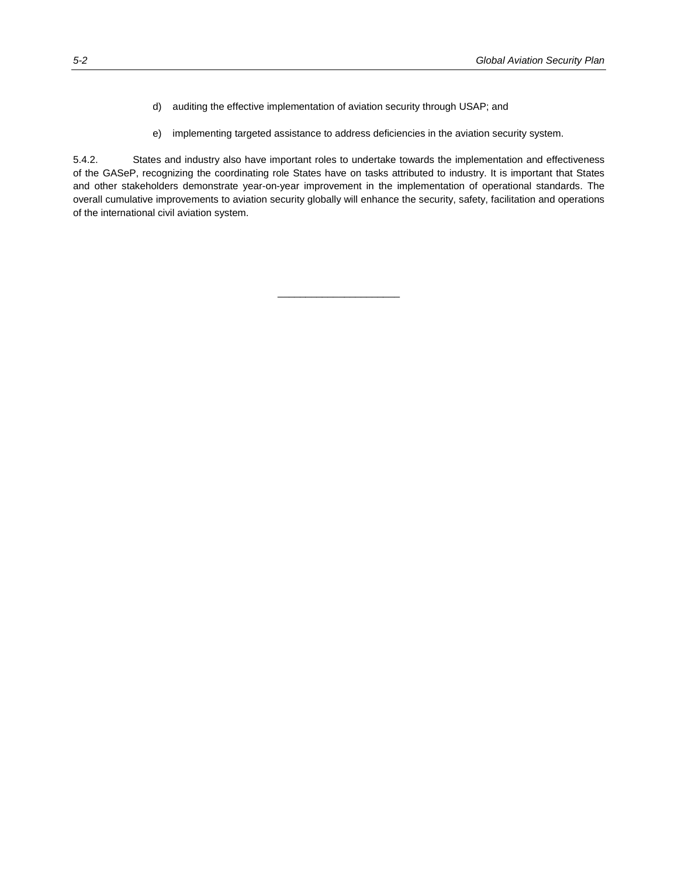- d) auditing the effective implementation of aviation security through USAP; and
- e) implementing targeted assistance to address deficiencies in the aviation security system.

5.4.2. States and industry also have important roles to undertake towards the implementation and effectiveness of the GASeP, recognizing the coordinating role States have on tasks attributed to industry. It is important that States and other stakeholders demonstrate year-on-year improvement in the implementation of operational standards. The overall cumulative improvements to aviation security globally will enhance the security, safety, facilitation and operations of the international civil aviation system.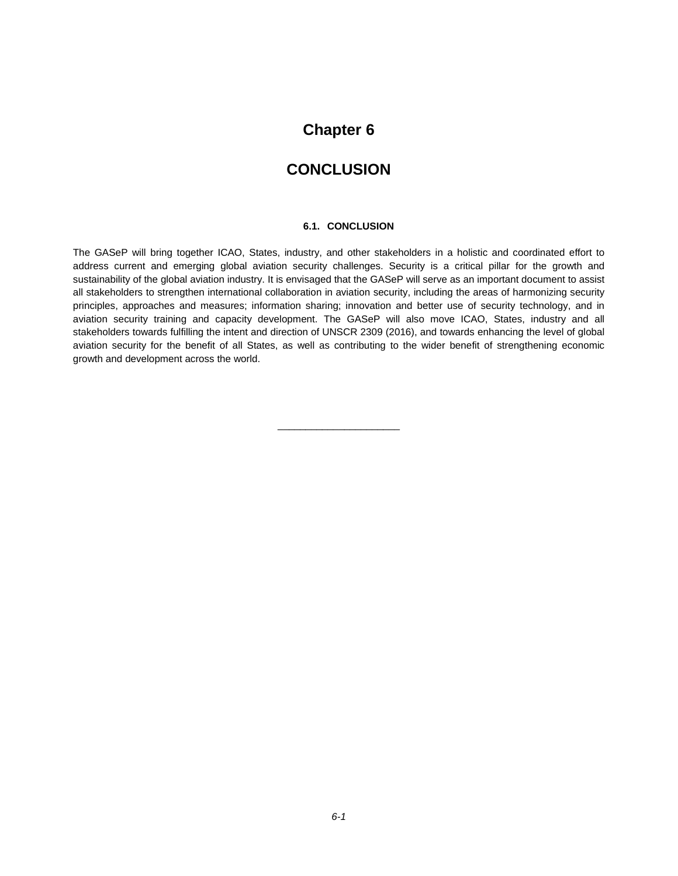### **CONCLUSION**

#### **6.1. CONCLUSION**

The GASeP will bring together ICAO, States, industry, and other stakeholders in a holistic and coordinated effort to address current and emerging global aviation security challenges. Security is a critical pillar for the growth and sustainability of the global aviation industry. It is envisaged that the GASeP will serve as an important document to assist all stakeholders to strengthen international collaboration in aviation security, including the areas of harmonizing security principles, approaches and measures; information sharing; innovation and better use of security technology, and in aviation security training and capacity development. The GASeP will also move ICAO, States, industry and all stakeholders towards fulfilling the intent and direction of UNSCR 2309 (2016), and towards enhancing the level of global aviation security for the benefit of all States, as well as contributing to the wider benefit of strengthening economic growth and development across the world.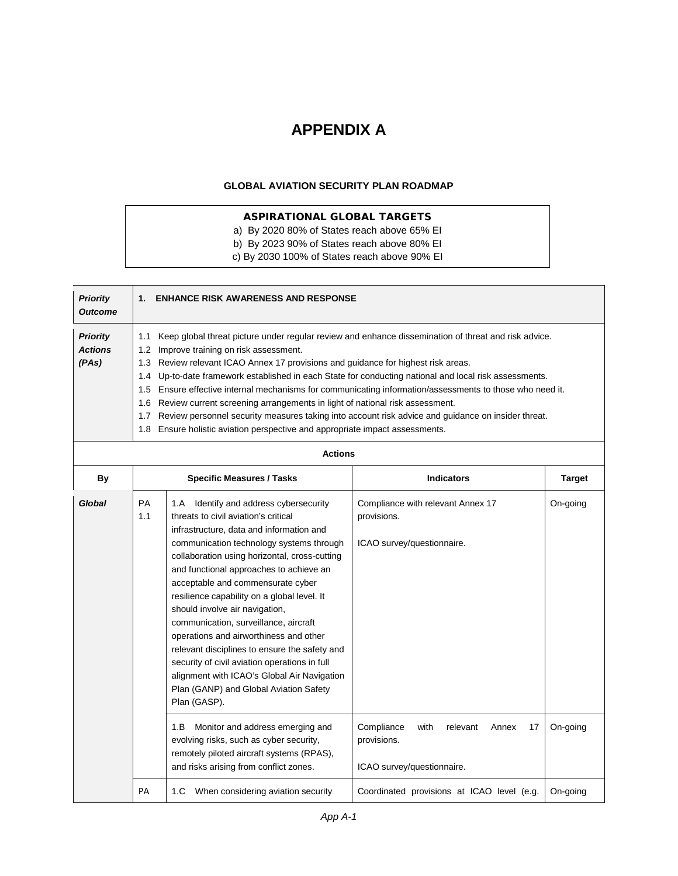# **APPENDIX A**

#### **GLOBAL AVIATION SECURITY PLAN ROADMAP**

### ASPIRATIONAL GLOBAL TARGETS

- a) By 2020 80% of States reach above 65% EI
- b) By 2023 90% of States reach above 80% EI
- c) By 2030 100% of States reach above 90% EI

| <b>Priority</b><br><b>Outcome</b> | <b>ENHANCE RISK AWARENESS AND RESPONSE</b><br>$1_{-}$                                                       |
|-----------------------------------|-------------------------------------------------------------------------------------------------------------|
| <b>Priority</b>                   | Keep global threat picture under regular review and enhance dissemination of threat and risk advice.<br>1.1 |
| <b>Actions</b>                    | Improve training on risk assessment.<br>1.2 <sub>1</sub>                                                    |
| (PAs)                             | 1.3 Review relevant ICAO Annex 17 provisions and guidance for highest risk areas.                           |
|                                   | 1.4 Up-to-date framework established in each State for conducting national and local risk assessments.      |
|                                   | 1.5 Ensure effective internal mechanisms for communicating information/assessments to those who need it.    |
|                                   | 1.6 Review current screening arrangements in light of national risk assessment.                             |
|                                   | Review personnel security measures taking into account risk advice and guidance on insider threat.<br>1.7   |
|                                   | 1.8 Ensure holistic aviation perspective and appropriate impact assessments.                                |
|                                   |                                                                                                             |

| <b>Actions</b> |                  |                                                                                                                                                                                                                                                                                                                                                                                                                                                                                                                                                                                                                                                                                           |                                                                                            |               |
|----------------|------------------|-------------------------------------------------------------------------------------------------------------------------------------------------------------------------------------------------------------------------------------------------------------------------------------------------------------------------------------------------------------------------------------------------------------------------------------------------------------------------------------------------------------------------------------------------------------------------------------------------------------------------------------------------------------------------------------------|--------------------------------------------------------------------------------------------|---------------|
| By             |                  | <b>Specific Measures / Tasks</b>                                                                                                                                                                                                                                                                                                                                                                                                                                                                                                                                                                                                                                                          | <b>Indicators</b>                                                                          | <b>Target</b> |
| Global         | <b>PA</b><br>1.1 | Identify and address cybersecurity<br>1.A<br>threats to civil aviation's critical<br>infrastructure, data and information and<br>communication technology systems through<br>collaboration using horizontal, cross-cutting<br>and functional approaches to achieve an<br>acceptable and commensurate cyber<br>resilience capability on a global level. It<br>should involve air navigation,<br>communication, surveillance, aircraft<br>operations and airworthiness and other<br>relevant disciplines to ensure the safety and<br>security of civil aviation operations in full<br>alignment with ICAO's Global Air Navigation<br>Plan (GANP) and Global Aviation Safety<br>Plan (GASP). | Compliance with relevant Annex 17<br>provisions.<br>ICAO survey/questionnaire.             | On-going      |
|                |                  | Monitor and address emerging and<br>1.B<br>evolving risks, such as cyber security,<br>remotely piloted aircraft systems (RPAS),<br>and risks arising from conflict zones.                                                                                                                                                                                                                                                                                                                                                                                                                                                                                                                 | Compliance<br>with<br>relevant<br>Annex<br>17<br>provisions.<br>ICAO survey/questionnaire. | On-going      |
|                | PA               | When considering aviation security<br>1.C                                                                                                                                                                                                                                                                                                                                                                                                                                                                                                                                                                                                                                                 | Coordinated provisions at ICAO level (e.g.                                                 | On-going      |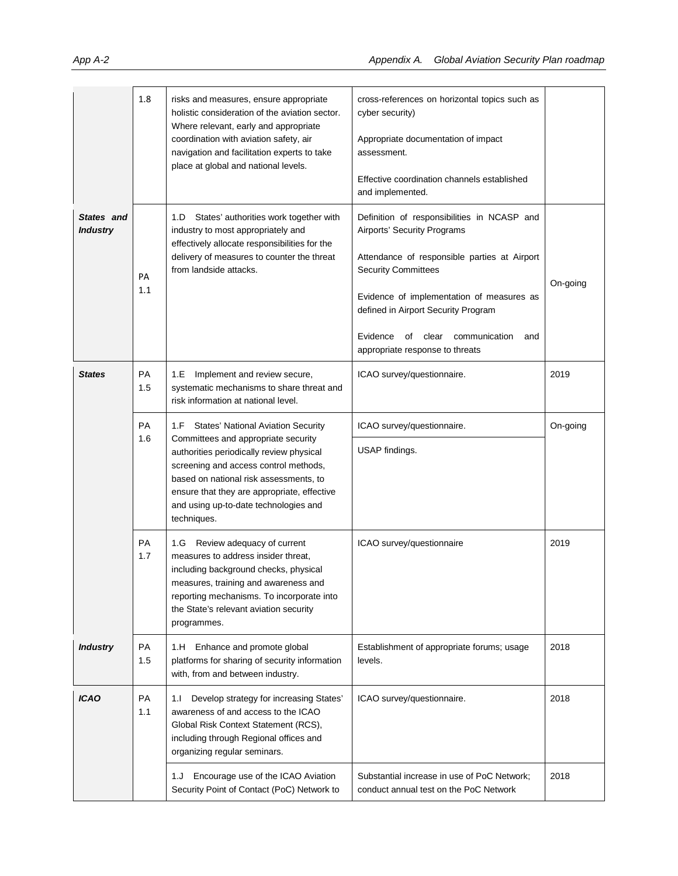|                               | 1.8              | risks and measures, ensure appropriate<br>holistic consideration of the aviation sector.<br>Where relevant, early and appropriate<br>coordination with aviation safety, air<br>navigation and facilitation experts to take<br>place at global and national levels.                                                  | cross-references on horizontal topics such as<br>cyber security)<br>Appropriate documentation of impact<br>assessment.<br>Effective coordination channels established<br>and implemented.                                                                                                                                          |              |
|-------------------------------|------------------|---------------------------------------------------------------------------------------------------------------------------------------------------------------------------------------------------------------------------------------------------------------------------------------------------------------------|------------------------------------------------------------------------------------------------------------------------------------------------------------------------------------------------------------------------------------------------------------------------------------------------------------------------------------|--------------|
| States and<br><b>Industry</b> | PA<br>1.1        | States' authorities work together with<br>1.D<br>industry to most appropriately and<br>effectively allocate responsibilities for the<br>delivery of measures to counter the threat<br>from landside attacks.                                                                                                        | Definition of responsibilities in NCASP and<br>Airports' Security Programs<br>Attendance of responsible parties at Airport<br><b>Security Committees</b><br>Evidence of implementation of measures as<br>defined in Airport Security Program<br>Evidence<br>of<br>clear<br>communication<br>and<br>appropriate response to threats | On-going     |
| <b>States</b>                 | PA<br>1.5        | Implement and review secure,<br>1.E<br>systematic mechanisms to share threat and<br>risk information at national level.                                                                                                                                                                                             | ICAO survey/questionnaire.                                                                                                                                                                                                                                                                                                         | 2019         |
|                               | <b>PA</b><br>1.6 | 1.F States' National Aviation Security<br>Committees and appropriate security<br>authorities periodically review physical<br>screening and access control methods,<br>based on national risk assessments, to<br>ensure that they are appropriate, effective<br>and using up-to-date technologies and<br>techniques. | ICAO survey/questionnaire.<br>USAP findings.                                                                                                                                                                                                                                                                                       | On-going     |
|                               | PA<br>1.7        | 1.G Review adequacy of current<br>measures to address insider threat,<br>including background checks, physical<br>measures, training and awareness and<br>reporting mechanisms. To incorporate into<br>the State's relevant aviation security<br>programmes.                                                        | ICAO survey/questionnaire                                                                                                                                                                                                                                                                                                          | 2019         |
| <b>Industry</b>               | PA<br>1.5        | Enhance and promote global<br>1.H<br>platforms for sharing of security information<br>with, from and between industry.                                                                                                                                                                                              | Establishment of appropriate forums; usage<br>levels.                                                                                                                                                                                                                                                                              | 2018         |
| <b>ICAO</b>                   | PA<br>1.1        | 1.1<br>Develop strategy for increasing States'<br>awareness of and access to the ICAO<br>Global Risk Context Statement (RCS),<br>including through Regional offices and<br>organizing regular seminars.<br>Encourage use of the ICAO Aviation<br>1.J<br>Security Point of Contact (PoC) Network to                  | ICAO survey/questionnaire.<br>Substantial increase in use of PoC Network;<br>conduct annual test on the PoC Network                                                                                                                                                                                                                | 2018<br>2018 |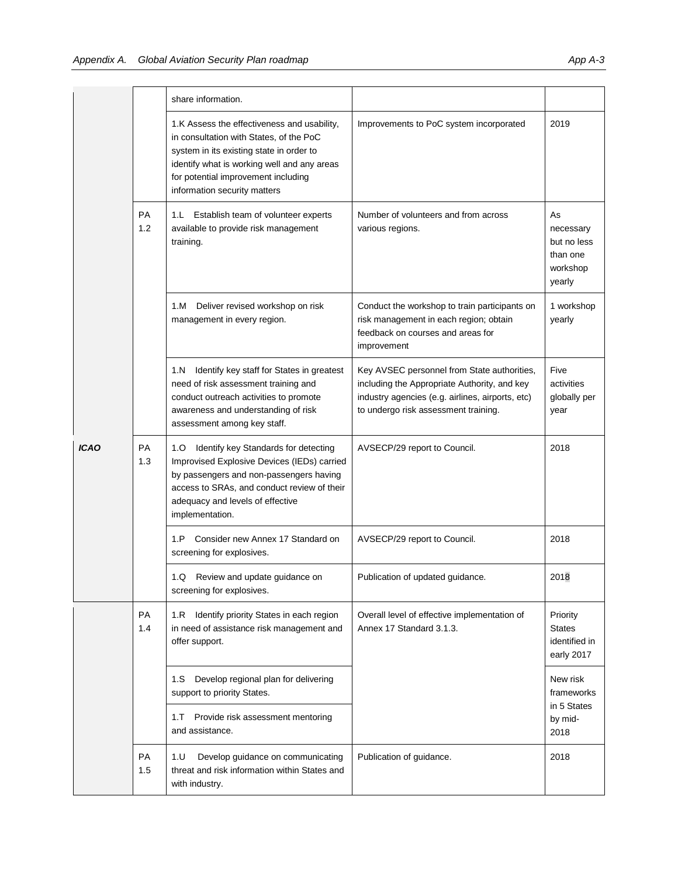|             |                  | share information.                                                                                                                                                                                                                                       |                                                                                                                                                                                         |                                                                  |
|-------------|------------------|----------------------------------------------------------------------------------------------------------------------------------------------------------------------------------------------------------------------------------------------------------|-----------------------------------------------------------------------------------------------------------------------------------------------------------------------------------------|------------------------------------------------------------------|
|             |                  | 1.K Assess the effectiveness and usability,<br>in consultation with States, of the PoC<br>system in its existing state in order to<br>identify what is working well and any areas<br>for potential improvement including<br>information security matters | Improvements to PoC system incorporated                                                                                                                                                 | 2019                                                             |
|             | <b>PA</b><br>1.2 | 1.L<br>Establish team of volunteer experts<br>available to provide risk management<br>training.                                                                                                                                                          | Number of volunteers and from across<br>various regions.                                                                                                                                | As<br>necessary<br>but no less<br>than one<br>workshop<br>yearly |
|             |                  | 1.M<br>Deliver revised workshop on risk<br>management in every region.                                                                                                                                                                                   | Conduct the workshop to train participants on<br>risk management in each region; obtain<br>feedback on courses and areas for<br>improvement                                             | 1 workshop<br>yearly                                             |
|             |                  | Identify key staff for States in greatest<br>1.N<br>need of risk assessment training and<br>conduct outreach activities to promote<br>awareness and understanding of risk<br>assessment among key staff.                                                 | Key AVSEC personnel from State authorities,<br>including the Appropriate Authority, and key<br>industry agencies (e.g. airlines, airports, etc)<br>to undergo risk assessment training. | Five<br>activities<br>globally per<br>year                       |
| <b>ICAO</b> | PA<br>1.3        | Identify key Standards for detecting<br>1.O<br>Improvised Explosive Devices (IEDs) carried<br>by passengers and non-passengers having<br>access to SRAs, and conduct review of their<br>adequacy and levels of effective<br>implementation.              | AVSECP/29 report to Council.                                                                                                                                                            | 2018                                                             |
|             |                  | 1.P<br>Consider new Annex 17 Standard on<br>screening for explosives.                                                                                                                                                                                    | AVSECP/29 report to Council.                                                                                                                                                            | 2018                                                             |
|             |                  | 1.Q Review and update guidance on<br>screening for explosives.                                                                                                                                                                                           | Publication of updated guidance                                                                                                                                                         | 2018                                                             |
|             | PA<br>1.4        | 1.R Identify priority States in each region<br>in need of assistance risk management and<br>offer support.                                                                                                                                               | Overall level of effective implementation of<br>Annex 17 Standard 3.1.3.                                                                                                                | Priority<br><b>States</b><br>identified in<br>early 2017         |
|             |                  | Develop regional plan for delivering<br>1.S<br>support to priority States.<br>Provide risk assessment mentoring<br>1. T<br>and assistance.                                                                                                               |                                                                                                                                                                                         | New risk<br>frameworks<br>in 5 States<br>by mid-<br>2018         |
|             | PA<br>1.5        | 1. U<br>Develop guidance on communicating<br>threat and risk information within States and<br>with industry.                                                                                                                                             | Publication of guidance.                                                                                                                                                                | 2018                                                             |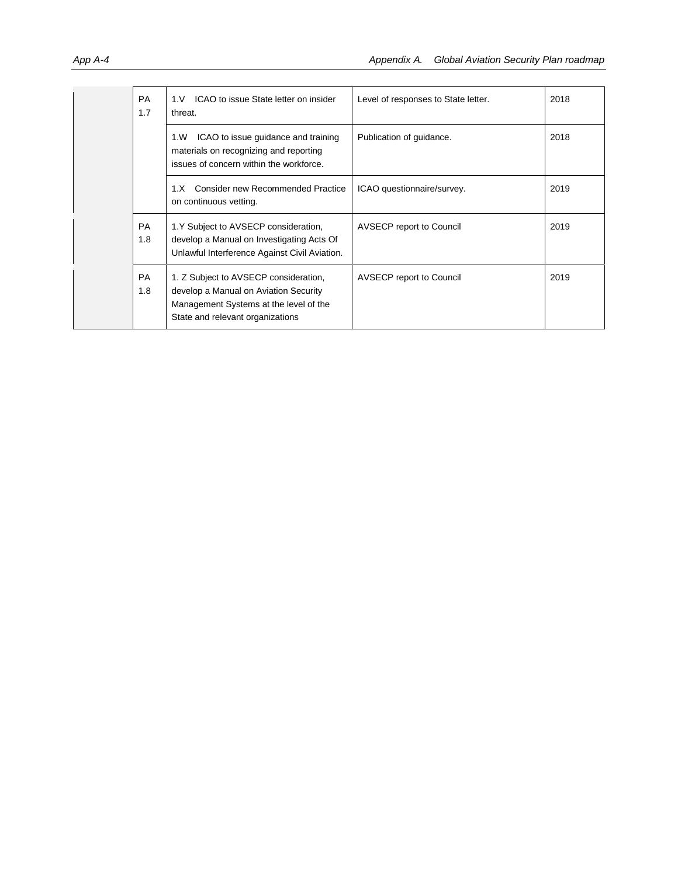| <b>PA</b><br>1.7 | ICAO to issue State letter on insider<br>1. V<br>threat.                                                                                                     | Level of responses to State letter. | 2018 |
|------------------|--------------------------------------------------------------------------------------------------------------------------------------------------------------|-------------------------------------|------|
|                  | ICAO to issue guidance and training<br>1.W<br>materials on recognizing and reporting<br>issues of concern within the workforce.                              | Publication of guidance.            | 2018 |
|                  | <b>Consider new Recommended Practice</b><br>1.X<br>on continuous vetting.                                                                                    | ICAO questionnaire/survey.          | 2019 |
| <b>PA</b><br>1.8 | 1.Y Subject to AVSECP consideration,<br>develop a Manual on Investigating Acts Of<br>Unlawful Interference Against Civil Aviation.                           | <b>AVSECP</b> report to Council     | 2019 |
| <b>PA</b><br>1.8 | 1. Z Subject to AVSECP consideration,<br>develop a Manual on Aviation Security<br>Management Systems at the level of the<br>State and relevant organizations | <b>AVSECP</b> report to Council     | 2019 |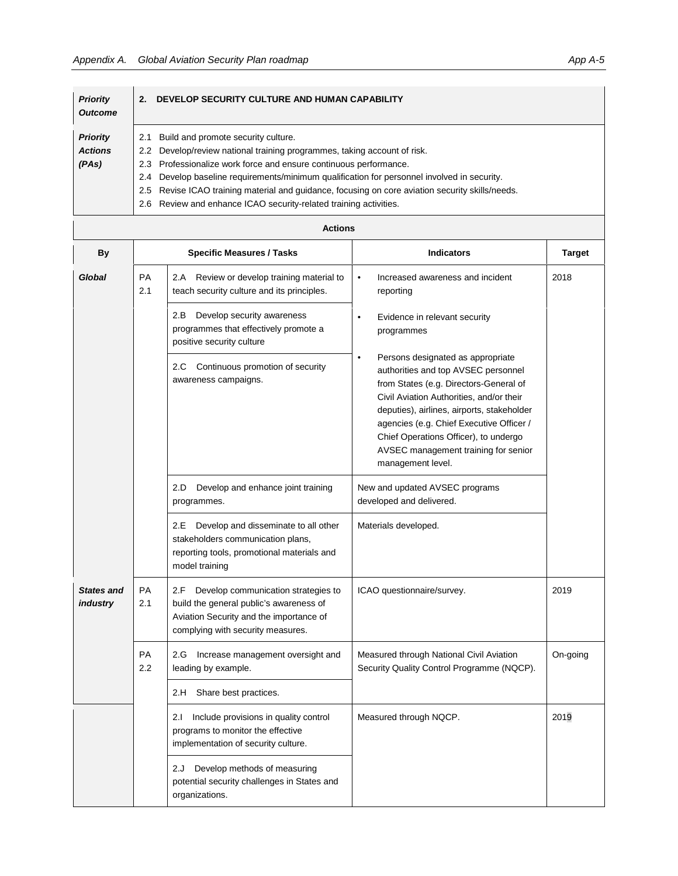organizations.

| <b>Priority</b><br><b>Outcome</b> | DEVELOP SECURITY CULTURE AND HUMAN CAPABILITY<br>2.                                              |
|-----------------------------------|--------------------------------------------------------------------------------------------------|
| <b>Priority</b>                   | Build and promote security culture.<br>2.1                                                       |
| <b>Actions</b>                    | Develop/review national training programmes, taking account of risk.<br>$2.2^{\circ}$            |
| (PAs)                             | 2.3 Professionalize work force and ensure continuous performance.                                |
|                                   | Develop baseline requirements/minimum qualification for personnel involved in security.<br>2.4   |
|                                   | 2.5 Revise ICAO training material and guidance, focusing on core aviation security skills/needs. |
|                                   | 2.6 Review and enhance ICAO security-related training activities.                                |

|                               |                  | <b>Actions</b>                                                                                                                                                        |                                                                                                                                                                                                                                                                                                                                                                             |               |
|-------------------------------|------------------|-----------------------------------------------------------------------------------------------------------------------------------------------------------------------|-----------------------------------------------------------------------------------------------------------------------------------------------------------------------------------------------------------------------------------------------------------------------------------------------------------------------------------------------------------------------------|---------------|
| <b>By</b>                     |                  | <b>Specific Measures / Tasks</b>                                                                                                                                      | <b>Indicators</b>                                                                                                                                                                                                                                                                                                                                                           | <b>Target</b> |
| Global                        | <b>PA</b><br>2.1 | 2.A Review or develop training material to<br>teach security culture and its principles.                                                                              | $\bullet$<br>Increased awareness and incident<br>reporting                                                                                                                                                                                                                                                                                                                  | 2018          |
|                               |                  | 2.B<br>Develop security awareness<br>programmes that effectively promote a<br>positive security culture                                                               | $\bullet$<br>Evidence in relevant security<br>programmes                                                                                                                                                                                                                                                                                                                    |               |
|                               |                  | Continuous promotion of security<br>2.C<br>awareness campaigns.                                                                                                       | Persons designated as appropriate<br>$\bullet$<br>authorities and top AVSEC personnel<br>from States (e.g. Directors-General of<br>Civil Aviation Authorities, and/or their<br>deputies), airlines, airports, stakeholder<br>agencies (e.g. Chief Executive Officer /<br>Chief Operations Officer), to undergo<br>AVSEC management training for senior<br>management level. |               |
|                               |                  | 2.D<br>Develop and enhance joint training<br>programmes.                                                                                                              | New and updated AVSEC programs<br>developed and delivered.                                                                                                                                                                                                                                                                                                                  |               |
|                               |                  | Develop and disseminate to all other<br>2.E<br>stakeholders communication plans,<br>reporting tools, promotional materials and<br>model training                      | Materials developed.                                                                                                                                                                                                                                                                                                                                                        |               |
| <b>States and</b><br>industry | PA<br>2.1        | Develop communication strategies to<br>2.F<br>build the general public's awareness of<br>Aviation Security and the importance of<br>complying with security measures. | ICAO questionnaire/survey.                                                                                                                                                                                                                                                                                                                                                  | 2019          |
|                               | <b>PA</b><br>2.2 | 2.G Increase management oversight and<br>leading by example.                                                                                                          | Measured through National Civil Aviation<br>Security Quality Control Programme (NQCP).                                                                                                                                                                                                                                                                                      | On-going      |
|                               |                  | 2.H Share best practices.                                                                                                                                             |                                                                                                                                                                                                                                                                                                                                                                             |               |
|                               |                  | 2.1 Include provisions in quality control<br>programs to monitor the effective<br>implementation of security culture.                                                 | Measured through NQCP.                                                                                                                                                                                                                                                                                                                                                      | 2019          |
|                               |                  | Develop methods of measuring<br>2.J<br>potential security challenges in States and                                                                                    |                                                                                                                                                                                                                                                                                                                                                                             |               |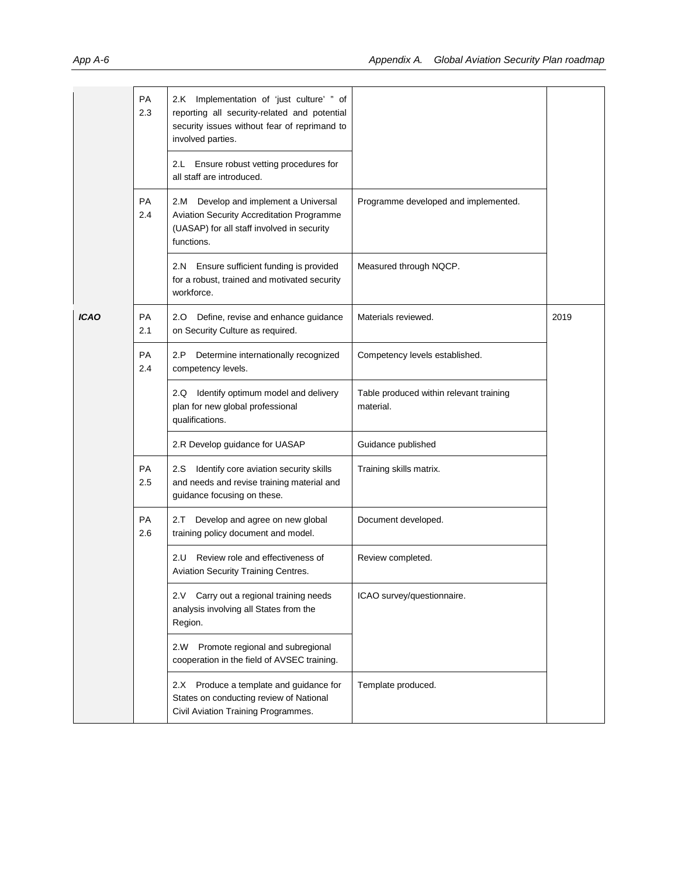|             | PA<br>2.3 | 2.K Implementation of 'just culture' " of<br>reporting all security-related and potential<br>security issues without fear of reprimand to<br>involved parties.<br>Ensure robust vetting procedures for<br>2.L<br>all staff are introduced. |                                                      |      |
|-------------|-----------|--------------------------------------------------------------------------------------------------------------------------------------------------------------------------------------------------------------------------------------------|------------------------------------------------------|------|
|             | PA<br>2.4 | Develop and implement a Universal<br>2.M<br>Aviation Security Accreditation Programme<br>(UASAP) for all staff involved in security<br>functions.                                                                                          | Programme developed and implemented.                 |      |
|             |           | 2.N Ensure sufficient funding is provided<br>for a robust, trained and motivated security<br>workforce.                                                                                                                                    | Measured through NQCP.                               |      |
| <b>ICAO</b> | PA<br>2.1 | 2.0 Define, revise and enhance guidance<br>on Security Culture as required.                                                                                                                                                                | Materials reviewed.                                  | 2019 |
|             | PA<br>2.4 | Determine internationally recognized<br>2.P<br>competency levels.                                                                                                                                                                          | Competency levels established.                       |      |
|             |           | 2.Q Identify optimum model and delivery<br>plan for new global professional<br>qualifications.                                                                                                                                             | Table produced within relevant training<br>material. |      |
|             |           | 2.R Develop guidance for UASAP                                                                                                                                                                                                             | Guidance published                                   |      |
|             | PA<br>2.5 | Identify core aviation security skills<br>2.S<br>and needs and revise training material and<br>guidance focusing on these.                                                                                                                 | Training skills matrix.                              |      |
|             | PA<br>2.6 | Develop and agree on new global<br>2.T<br>training policy document and model.                                                                                                                                                              | Document developed.                                  |      |
|             |           | Review role and effectiveness of<br>2.U<br>Aviation Security Training Centres.                                                                                                                                                             | Review completed.                                    |      |
|             |           | Carry out a regional training needs<br>2.V<br>analysis involving all States from the<br>Region.                                                                                                                                            | ICAO survey/questionnaire.                           |      |
|             |           | Promote regional and subregional<br>2.W<br>cooperation in the field of AVSEC training.                                                                                                                                                     |                                                      |      |
|             |           | 2.X Produce a template and guidance for<br>States on conducting review of National<br>Civil Aviation Training Programmes.                                                                                                                  | Template produced.                                   |      |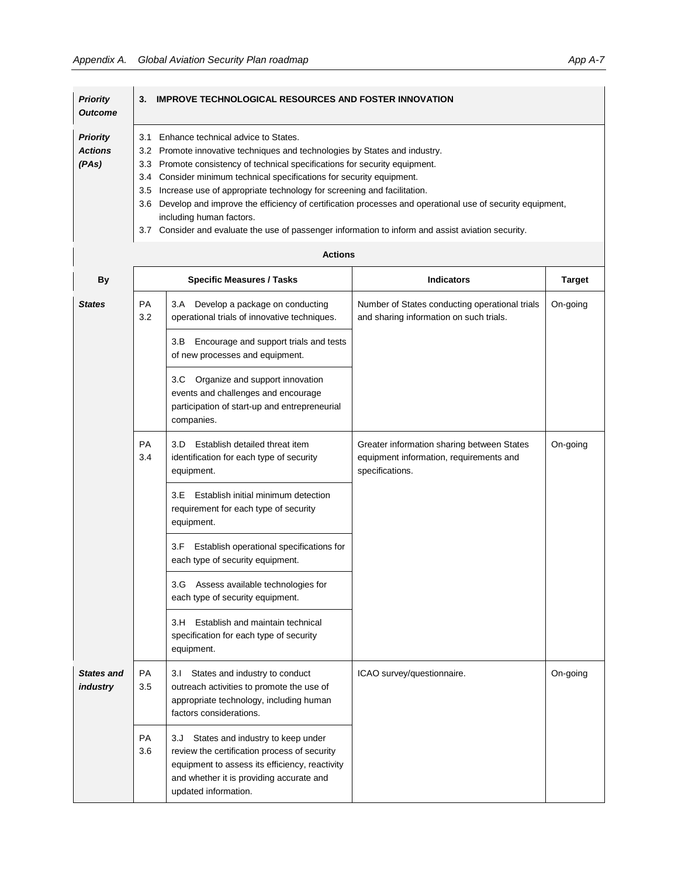| <b>Priority</b><br><b>Outcome</b> | 3.  | <b>IMPROVE TECHNOLOGICAL RESOURCES AND FOSTER INNOVATION</b>                                             |
|-----------------------------------|-----|----------------------------------------------------------------------------------------------------------|
| <b>Priority</b>                   | 3.1 | Enhance technical advice to States.                                                                      |
| <b>Actions</b>                    |     | 3.2 Promote innovative techniques and technologies by States and industry.                               |
| (PAs)                             |     | 3.3 Promote consistency of technical specifications for security equipment.                              |
|                                   |     | 3.4 Consider minimum technical specifications for security equipment.                                    |
|                                   | 3.5 | Increase use of appropriate technology for screening and facilitation.                                   |
|                                   | 3.6 | Develop and improve the efficiency of certification processes and operational use of security equipment, |
|                                   |     | including human factors.                                                                                 |
|                                   | 3.7 | Consider and evaluate the use of passenger information to inform and assist aviation security.           |

| By                            |                  | <b>Specific Measures / Tasks</b>                                                                                                                                                                               | <b>Indicators</b>                                                                                        | <b>Target</b> |
|-------------------------------|------------------|----------------------------------------------------------------------------------------------------------------------------------------------------------------------------------------------------------------|----------------------------------------------------------------------------------------------------------|---------------|
| <b>States</b>                 | <b>PA</b><br>3.2 | Develop a package on conducting<br>3.A<br>operational trials of innovative techniques.                                                                                                                         | Number of States conducting operational trials<br>and sharing information on such trials.                | On-going      |
|                               |                  | Encourage and support trials and tests<br>3.B<br>of new processes and equipment.                                                                                                                               |                                                                                                          |               |
|                               |                  | 3.C<br>Organize and support innovation<br>events and challenges and encourage<br>participation of start-up and entrepreneurial<br>companies.                                                                   |                                                                                                          |               |
|                               | <b>PA</b><br>3.4 | Establish detailed threat item<br>3.D<br>identification for each type of security<br>equipment.                                                                                                                | Greater information sharing between States<br>equipment information, requirements and<br>specifications. | On-going      |
|                               |                  | 3.E<br>Establish initial minimum detection<br>requirement for each type of security<br>equipment.                                                                                                              |                                                                                                          |               |
|                               |                  | Establish operational specifications for<br>3.F<br>each type of security equipment.                                                                                                                            |                                                                                                          |               |
|                               |                  | 3.G Assess available technologies for<br>each type of security equipment.                                                                                                                                      |                                                                                                          |               |
|                               |                  | Establish and maintain technical<br>3.H<br>specification for each type of security<br>equipment.                                                                                                               |                                                                                                          |               |
| <b>States and</b><br>industry | <b>PA</b><br>3.5 | 3.1 States and industry to conduct<br>outreach activities to promote the use of<br>appropriate technology, including human<br>factors considerations.                                                          | ICAO survey/questionnaire.                                                                               | On-going      |
|                               | <b>PA</b><br>3.6 | States and industry to keep under<br>3.J<br>review the certification process of security<br>equipment to assess its efficiency, reactivity<br>and whether it is providing accurate and<br>updated information. |                                                                                                          |               |

**Actions**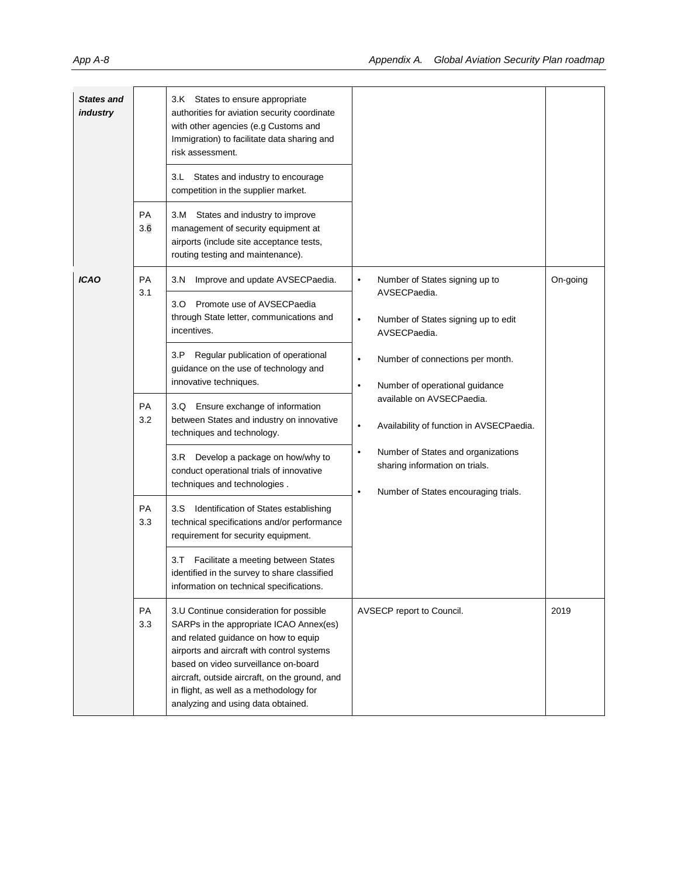| <b>States and</b><br>industry |                        | 3.K States to ensure appropriate<br>authorities for aviation security coordinate<br>with other agencies (e.g Customs and<br>Immigration) to facilitate data sharing and<br>risk assessment.<br>States and industry to encourage<br>3.L<br>competition in the supplier market.                                                                                                                                                                              |                                                                                                                                                                                                                                                                                                                                                                                                            |          |
|-------------------------------|------------------------|------------------------------------------------------------------------------------------------------------------------------------------------------------------------------------------------------------------------------------------------------------------------------------------------------------------------------------------------------------------------------------------------------------------------------------------------------------|------------------------------------------------------------------------------------------------------------------------------------------------------------------------------------------------------------------------------------------------------------------------------------------------------------------------------------------------------------------------------------------------------------|----------|
|                               | PA<br>3.6              | States and industry to improve<br>3.M<br>management of security equipment at<br>airports (include site acceptance tests,<br>routing testing and maintenance).                                                                                                                                                                                                                                                                                              |                                                                                                                                                                                                                                                                                                                                                                                                            |          |
| <b>ICAO</b>                   | PA<br>3.1<br>PA<br>3.2 | 3.N<br>Improve and update AVSECPaedia.<br>3.0 Promote use of AVSECPaedia<br>through State letter, communications and<br>incentives.<br>3.P<br>Regular publication of operational<br>guidance on the use of technology and<br>innovative techniques.<br>3.Q Ensure exchange of information<br>between States and industry on innovative<br>techniques and technology.<br>Develop a package on how/why to<br>3.R<br>conduct operational trials of innovative | Number of States signing up to<br>$\bullet$<br>AVSECPaedia.<br>Number of States signing up to edit<br>$\bullet$<br>AVSECPaedia.<br>Number of connections per month.<br>$\bullet$<br>Number of operational guidance<br>$\bullet$<br>available on AVSECPaedia.<br>Availability of function in AVSECPaedia.<br>$\bullet$<br>Number of States and organizations<br>$\bullet$<br>sharing information on trials. | On-going |
|                               | PA<br>3.3<br>PA        | techniques and technologies.<br>Identification of States establishing<br>3.S<br>technical specifications and/or performance<br>requirement for security equipment.<br>Facilitate a meeting between States<br>3.T<br>identified in the survey to share classified<br>information on technical specifications.<br>3.U Continue consideration for possible                                                                                                    | Number of States encouraging trials.<br>$\bullet$<br>AVSECP report to Council.                                                                                                                                                                                                                                                                                                                             | 2019     |
|                               | 3.3                    | SARPs in the appropriate ICAO Annex(es)<br>and related guidance on how to equip<br>airports and aircraft with control systems<br>based on video surveillance on-board<br>aircraft, outside aircraft, on the ground, and<br>in flight, as well as a methodology for<br>analyzing and using data obtained.                                                                                                                                                   |                                                                                                                                                                                                                                                                                                                                                                                                            |          |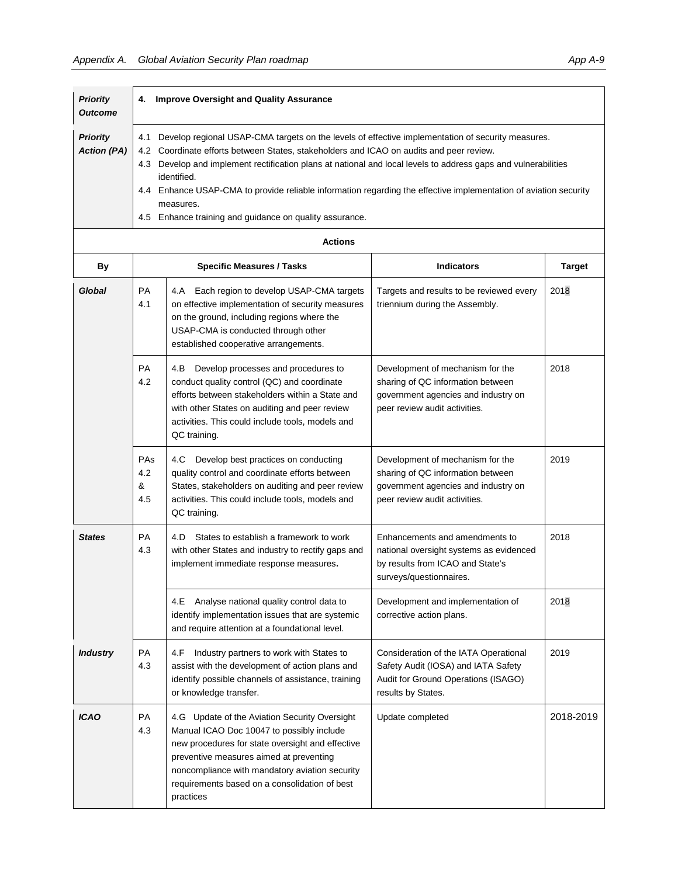| <b>Priority</b><br><b>Outcome</b>     | 4.                                                                                                                                                                                                                                                                                                                                                                                                                                                                                                                                  | <b>Improve Oversight and Quality Assurance</b>                                                                                                                                                                                                                                                            |                                                                                                                                               |               |
|---------------------------------------|-------------------------------------------------------------------------------------------------------------------------------------------------------------------------------------------------------------------------------------------------------------------------------------------------------------------------------------------------------------------------------------------------------------------------------------------------------------------------------------------------------------------------------------|-----------------------------------------------------------------------------------------------------------------------------------------------------------------------------------------------------------------------------------------------------------------------------------------------------------|-----------------------------------------------------------------------------------------------------------------------------------------------|---------------|
| <b>Priority</b><br><b>Action (PA)</b> | Develop regional USAP-CMA targets on the levels of effective implementation of security measures.<br>4.1<br>Coordinate efforts between States, stakeholders and ICAO on audits and peer review.<br>4.2<br>4.3 Develop and implement rectification plans at national and local levels to address gaps and vulnerabilities<br>identified.<br>4.4 Enhance USAP-CMA to provide reliable information regarding the effective implementation of aviation security<br>measures.<br>4.5 Enhance training and guidance on quality assurance. |                                                                                                                                                                                                                                                                                                           |                                                                                                                                               |               |
|                                       | <b>Actions</b>                                                                                                                                                                                                                                                                                                                                                                                                                                                                                                                      |                                                                                                                                                                                                                                                                                                           |                                                                                                                                               |               |
| <b>By</b>                             |                                                                                                                                                                                                                                                                                                                                                                                                                                                                                                                                     | <b>Specific Measures / Tasks</b>                                                                                                                                                                                                                                                                          | <b>Indicators</b>                                                                                                                             | <b>Target</b> |
| Global                                | <b>PA</b><br>4.1                                                                                                                                                                                                                                                                                                                                                                                                                                                                                                                    | 4.A Each region to develop USAP-CMA targets<br>on effective implementation of security measures<br>on the ground, including regions where the<br>USAP-CMA is conducted through other<br>established cooperative arrangements.                                                                             | Targets and results to be reviewed every<br>triennium during the Assembly.                                                                    | 2018          |
|                                       | <b>PA</b><br>4.2                                                                                                                                                                                                                                                                                                                                                                                                                                                                                                                    | 4.B<br>Develop processes and procedures to<br>conduct quality control (QC) and coordinate<br>efforts between stakeholders within a State and<br>with other States on auditing and peer review<br>activities. This could include tools, models and<br>QC training.                                         | Development of mechanism for the<br>sharing of QC information between<br>government agencies and industry on<br>peer review audit activities. | 2018          |
|                                       | PAs<br>4.2<br>&<br>4.5                                                                                                                                                                                                                                                                                                                                                                                                                                                                                                              | Develop best practices on conducting<br>4.C<br>quality control and coordinate efforts between<br>States, stakeholders on auditing and peer review<br>activities. This could include tools, models and<br>QC training.                                                                                     | Development of mechanism for the<br>sharing of QC information between<br>government agencies and industry on<br>peer review audit activities. | 2019          |
| <b>States</b>                         | <b>PA</b><br>4.3                                                                                                                                                                                                                                                                                                                                                                                                                                                                                                                    | States to establish a framework to work<br>4.D<br>with other States and industry to rectify gaps and<br>implement immediate response measures.                                                                                                                                                            | Enhancements and amendments to<br>national oversight systems as evidenced<br>by results from ICAO and State's<br>surveys/questionnaires.      | 2018          |
|                                       |                                                                                                                                                                                                                                                                                                                                                                                                                                                                                                                                     | Analyse national quality control data to<br>4.E<br>identify implementation issues that are systemic<br>and require attention at a foundational level.                                                                                                                                                     | Development and implementation of<br>corrective action plans.                                                                                 | 2018          |
| <b>Industry</b>                       | PA<br>4.3                                                                                                                                                                                                                                                                                                                                                                                                                                                                                                                           | Industry partners to work with States to<br>4.F<br>assist with the development of action plans and<br>identify possible channels of assistance, training<br>or knowledge transfer.                                                                                                                        | Consideration of the IATA Operational<br>Safety Audit (IOSA) and IATA Safety<br>Audit for Ground Operations (ISAGO)<br>results by States.     | 2019          |
| <b>ICAO</b>                           | PA<br>4.3                                                                                                                                                                                                                                                                                                                                                                                                                                                                                                                           | 4.G Update of the Aviation Security Oversight<br>Manual ICAO Doc 10047 to possibly include<br>new procedures for state oversight and effective<br>preventive measures aimed at preventing<br>noncompliance with mandatory aviation security<br>requirements based on a consolidation of best<br>practices | Update completed                                                                                                                              | 2018-2019     |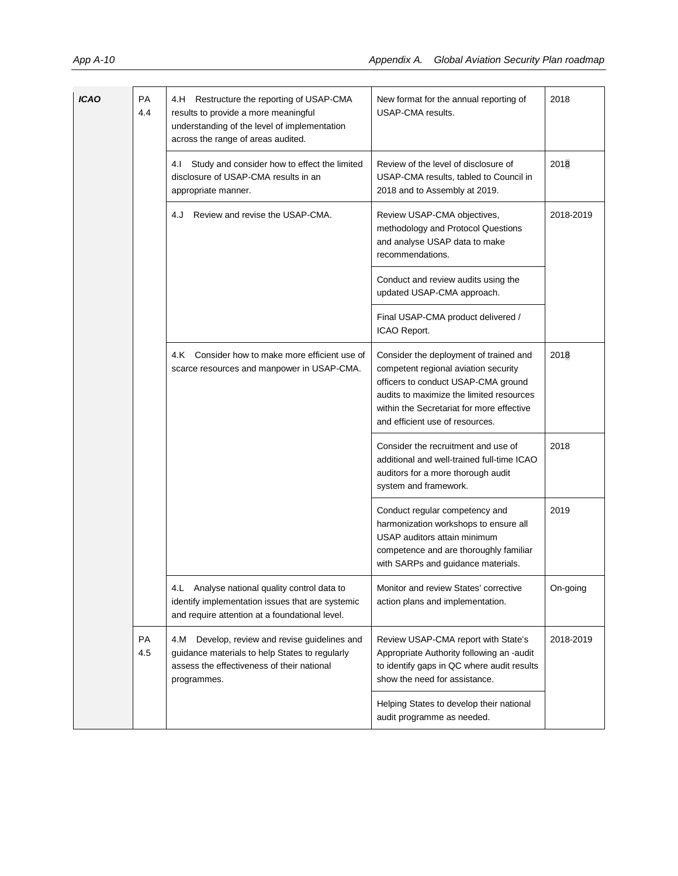| <b>ICAO</b> | PA<br>4.4 | 4.H Restructure the reporting of USAP-CMA<br>results to provide a more meaningful<br>understanding of the level of implementation<br>across the range of areas audited. | New format for the annual reporting of<br>USAP-CMA results.                                                                                                                                                                                       | 2018      |
|-------------|-----------|-------------------------------------------------------------------------------------------------------------------------------------------------------------------------|---------------------------------------------------------------------------------------------------------------------------------------------------------------------------------------------------------------------------------------------------|-----------|
|             |           | Study and consider how to effect the limited<br>4.I<br>disclosure of USAP-CMA results in an<br>appropriate manner.                                                      | Review of the level of disclosure of<br>USAP-CMA results, tabled to Council in<br>2018 and to Assembly at 2019.                                                                                                                                   | 2018      |
|             |           | Review and revise the USAP-CMA.<br>4.J                                                                                                                                  | Review USAP-CMA objectives,<br>methodology and Protocol Questions<br>and analyse USAP data to make<br>recommendations.                                                                                                                            | 2018-2019 |
|             |           |                                                                                                                                                                         | Conduct and review audits using the<br>updated USAP-CMA approach.                                                                                                                                                                                 |           |
|             |           |                                                                                                                                                                         | Final USAP-CMA product delivered /<br>ICAO Report.                                                                                                                                                                                                |           |
|             |           | Consider how to make more efficient use of<br>4.K<br>scarce resources and manpower in USAP-CMA.                                                                         | Consider the deployment of trained and<br>competent regional aviation security<br>officers to conduct USAP-CMA ground<br>audits to maximize the limited resources<br>within the Secretariat for more effective<br>and efficient use of resources. | 2018      |
|             |           |                                                                                                                                                                         | Consider the recruitment and use of<br>additional and well-trained full-time ICAO<br>auditors for a more thorough audit<br>system and framework.                                                                                                  | 2018      |
|             |           |                                                                                                                                                                         | Conduct regular competency and<br>harmonization workshops to ensure all<br>USAP auditors attain minimum<br>competence and are thoroughly familiar<br>with SARPs and guidance materials.                                                           | 2019      |
|             |           | 4.L Analyse national quality control data to<br>identify implementation issues that are systemic<br>and require attention at a foundational level.                      | Monitor and review States' corrective<br>action plans and implementation.                                                                                                                                                                         | On-going  |
|             | PA<br>4.5 | 4.M<br>Develop, review and revise guidelines and<br>guidance materials to help States to regularly<br>assess the effectiveness of their national<br>programmes.         | Review USAP-CMA report with State's<br>Appropriate Authority following an -audit<br>to identify gaps in QC where audit results<br>show the need for assistance.                                                                                   | 2018-2019 |
|             |           |                                                                                                                                                                         | Helping States to develop their national<br>audit programme as needed.                                                                                                                                                                            |           |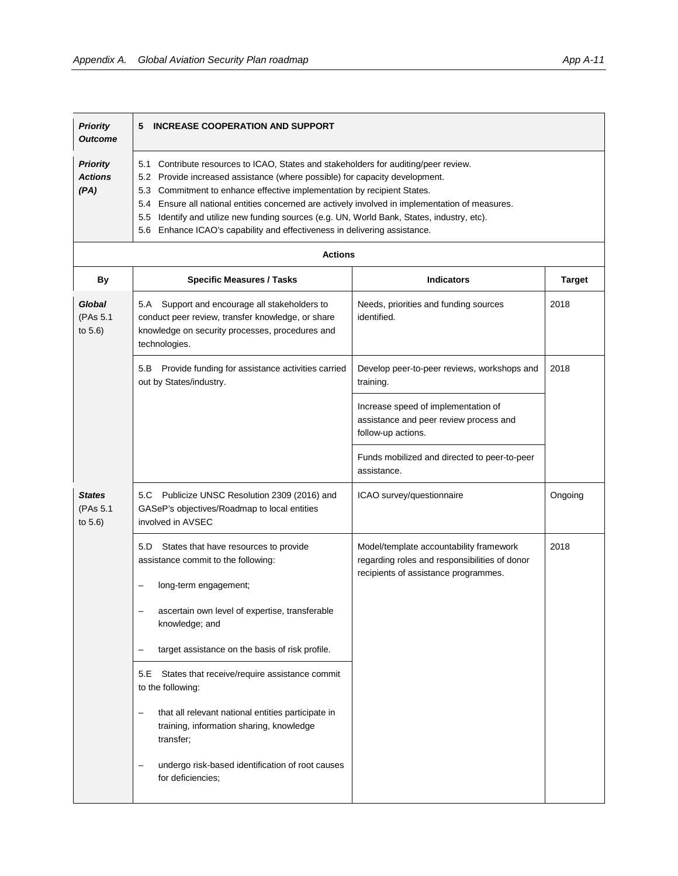$\Gamma$ 

| <b>Priority</b>                           | <b>INCREASE COOPERATION AND SUPPORT</b>                                                                                                                                                                                                                                                                                                                                                                                                                                                                                     |
|-------------------------------------------|-----------------------------------------------------------------------------------------------------------------------------------------------------------------------------------------------------------------------------------------------------------------------------------------------------------------------------------------------------------------------------------------------------------------------------------------------------------------------------------------------------------------------------|
| <b>Outcome</b>                            | 5                                                                                                                                                                                                                                                                                                                                                                                                                                                                                                                           |
| <b>Priority</b><br><b>Actions</b><br>(PA) | 5.1 Contribute resources to ICAO, States and stakeholders for auditing/peer review.<br>5.2 Provide increased assistance (where possible) for capacity development.<br>5.3 Commitment to enhance effective implementation by recipient States.<br>5.4 Ensure all national entities concerned are actively involved in implementation of measures.<br>5.5 Identify and utilize new funding sources (e.g. UN, World Bank, States, industry, etc).<br>5.6 Enhance ICAO's capability and effectiveness in delivering assistance. |

| <b>Actions</b>                       |                                                                                                                                                                        |                                                                                                                                  |               |  |
|--------------------------------------|------------------------------------------------------------------------------------------------------------------------------------------------------------------------|----------------------------------------------------------------------------------------------------------------------------------|---------------|--|
| By                                   | <b>Specific Measures / Tasks</b>                                                                                                                                       | <b>Indicators</b>                                                                                                                | <b>Target</b> |  |
| Global<br>(PAs 5.1<br>to 5.6)        | 5.A Support and encourage all stakeholders to<br>conduct peer review, transfer knowledge, or share<br>knowledge on security processes, procedures and<br>technologies. | Needs, priorities and funding sources<br>identified.                                                                             | 2018          |  |
|                                      | 5.B Provide funding for assistance activities carried<br>out by States/industry.                                                                                       | Develop peer-to-peer reviews, workshops and<br>training.                                                                         | 2018          |  |
|                                      |                                                                                                                                                                        | Increase speed of implementation of<br>assistance and peer review process and<br>follow-up actions.                              |               |  |
|                                      |                                                                                                                                                                        | Funds mobilized and directed to peer-to-peer<br>assistance.                                                                      |               |  |
| <b>States</b><br>(PAs 5.1<br>to 5.6) | 5.C Publicize UNSC Resolution 2309 (2016) and<br>GASeP's objectives/Roadmap to local entities<br>involved in AVSEC                                                     | ICAO survey/questionnaire                                                                                                        | Ongoing       |  |
|                                      | 5.D<br>States that have resources to provide<br>assistance commit to the following:                                                                                    | Model/template accountability framework<br>regarding roles and responsibilities of donor<br>recipients of assistance programmes. | 2018          |  |
|                                      | long-term engagement;                                                                                                                                                  |                                                                                                                                  |               |  |
|                                      | ascertain own level of expertise, transferable<br>$\overline{\phantom{m}}$<br>knowledge; and                                                                           |                                                                                                                                  |               |  |
|                                      | target assistance on the basis of risk profile.                                                                                                                        |                                                                                                                                  |               |  |
|                                      | States that receive/require assistance commit<br>5.E<br>to the following:                                                                                              |                                                                                                                                  |               |  |
|                                      | that all relevant national entities participate in<br>۳<br>training, information sharing, knowledge<br>transfer;                                                       |                                                                                                                                  |               |  |
|                                      | undergo risk-based identification of root causes<br>for deficiencies:                                                                                                  |                                                                                                                                  |               |  |